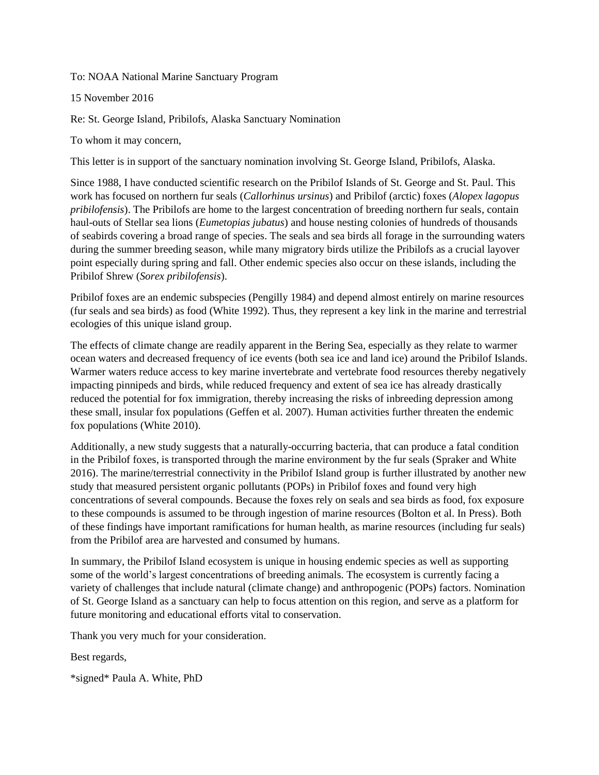To: NOAA National Marine Sanctuary Program

15 November 2016

Re: St. George Island, Pribilofs, Alaska Sanctuary Nomination

To whom it may concern,

This letter is in support of the sanctuary nomination involving St. George Island, Pribilofs, Alaska.

Since 1988, I have conducted scientific research on the Pribilof Islands of St. George and St. Paul. This work has focused on northern fur seals (*Callorhinus ursinus*) and Pribilof (arctic) foxes (*Alopex lagopus pribilofensis*). The Pribilofs are home to the largest concentration of breeding northern fur seals, contain haul-outs of Stellar sea lions (*Eumetopias jubatus*) and house nesting colonies of hundreds of thousands of seabirds covering a broad range of species. The seals and sea birds all forage in the surrounding waters during the summer breeding season, while many migratory birds utilize the Pribilofs as a crucial layover point especially during spring and fall. Other endemic species also occur on these islands, including the Pribilof Shrew (*Sorex pribilofensis*).

Pribilof foxes are an endemic subspecies (Pengilly 1984) and depend almost entirely on marine resources (fur seals and sea birds) as food (White 1992). Thus, they represent a key link in the marine and terrestrial ecologies of this unique island group.

The effects of climate change are readily apparent in the Bering Sea, especially as they relate to warmer ocean waters and decreased frequency of ice events (both sea ice and land ice) around the Pribilof Islands. Warmer waters reduce access to key marine invertebrate and vertebrate food resources thereby negatively impacting pinnipeds and birds, while reduced frequency and extent of sea ice has already drastically reduced the potential for fox immigration, thereby increasing the risks of inbreeding depression among these small, insular fox populations (Geffen et al. 2007). Human activities further threaten the endemic fox populations (White 2010).

Additionally, a new study suggests that a naturally-occurring bacteria, that can produce a fatal condition in the Pribilof foxes, is transported through the marine environment by the fur seals (Spraker and White 2016). The marine/terrestrial connectivity in the Pribilof Island group is further illustrated by another new study that measured persistent organic pollutants (POPs) in Pribilof foxes and found very high concentrations of several compounds. Because the foxes rely on seals and sea birds as food, fox exposure to these compounds is assumed to be through ingestion of marine resources (Bolton et al. In Press). Both of these findings have important ramifications for human health, as marine resources (including fur seals) from the Pribilof area are harvested and consumed by humans.

In summary, the Pribilof Island ecosystem is unique in housing endemic species as well as supporting some of the world's largest concentrations of breeding animals. The ecosystem is currently facing a variety of challenges that include natural (climate change) and anthropogenic (POPs) factors. Nomination of St. George Island as a sanctuary can help to focus attention on this region, and serve as a platform for future monitoring and educational efforts vital to conservation.

Thank you very much for your consideration.

Best regards,

\*signed\* Paula A. White, PhD